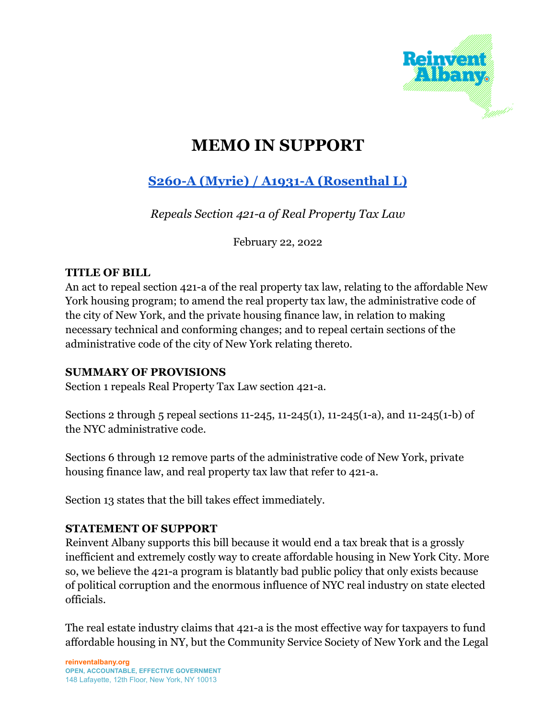

# **MEMO IN SUPPORT**

# **S260-A (Myrie) / A1931-A [\(Rosenthal](https://www.nysenate.gov/legislation/bills/2021/S260) L)**

*Repeals Section 421-a of Real Property Tax Law*

February 22, 2022

#### **TITLE OF BILL**

An act to repeal section 421-a of the real property tax law, relating to the affordable New York housing program; to amend the real property tax law, the administrative code of the city of New York, and the private housing finance law, in relation to making necessary technical and conforming changes; and to repeal certain sections of the administrative code of the city of New York relating thereto.

## **SUMMARY OF PROVISIONS**

Section 1 repeals Real Property Tax Law section 421-a.

Sections 2 through 5 repeal sections 11-245, 11-245(1), 11-245(1-a), and 11-245(1-b) of the NYC administrative code.

Sections 6 through 12 remove parts of the administrative code of New York, private housing finance law, and real property tax law that refer to 421-a.

Section 13 states that the bill takes effect immediately.

## **STATEMENT OF SUPPORT**

Reinvent Albany supports this bill because it would end a tax break that is a grossly inefficient and extremely costly way to create affordable housing in New York City. More so, we believe the 421-a program is blatantly bad public policy that only exists because of political corruption and the enormous influence of NYC real industry on state elected officials.

The real estate industry claims that 421-a is the most effective way for taxpayers to fund affordable housing in NY, but the Community Service Society of New York and the Legal